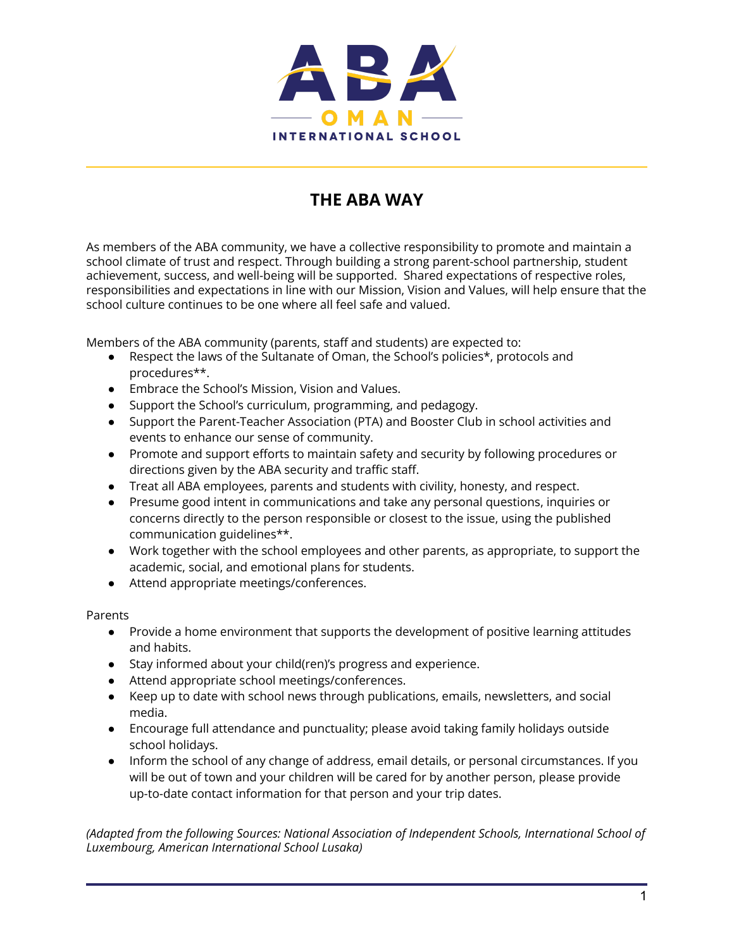

## **THE ABA WAY**

As members of the ABA community, we have a collective responsibility to promote and maintain a school climate of trust and respect. Through building a strong parent-school partnership, student achievement, success, and well-being will be supported. Shared expectations of respective roles, responsibilities and expectations in line with our Mission, Vision and Values, will help ensure that the school culture continues to be one where all feel safe and valued.

Members of the ABA community (parents, staff and students) are expected to:

- Respect the laws of the Sultanate of Oman, the School's policies\*, protocols and procedures\*\*.
- Embrace the School's Mission, Vision and Values.
- Support the School's curriculum, programming, and pedagogy.
- Support the Parent-Teacher Association (PTA) and Booster Club in school activities and events to enhance our sense of community.
- Promote and support efforts to maintain safety and security by following procedures or directions given by the ABA security and traffic staff.
- Treat all ABA employees, parents and students with civility, honesty, and respect.
- Presume good intent in communications and take any personal questions, inquiries or concerns directly to the person responsible or closest to the issue, using the published communication guidelines\*\*.
- Work together with the school employees and other parents, as appropriate, to support the academic, social, and emotional plans for students.
- Attend appropriate meetings/conferences.

Parents

- Provide a home environment that supports the development of positive learning attitudes and habits.
- Stay informed about your child(ren)'s progress and experience.
- Attend appropriate school meetings/conferences.
- Keep up to date with school news through publications, emails, newsletters, and social media.
- Encourage full attendance and punctuality; please avoid taking family holidays outside school holidays.
- Inform the school of any change of address, email details, or personal circumstances. If you will be out of town and your children will be cared for by another person, please provide up-to-date contact information for that person and your trip dates.

*(Adapted from the following Sources: National Association of Independent Schools, International School of Luxembourg, American International School Lusaka)*